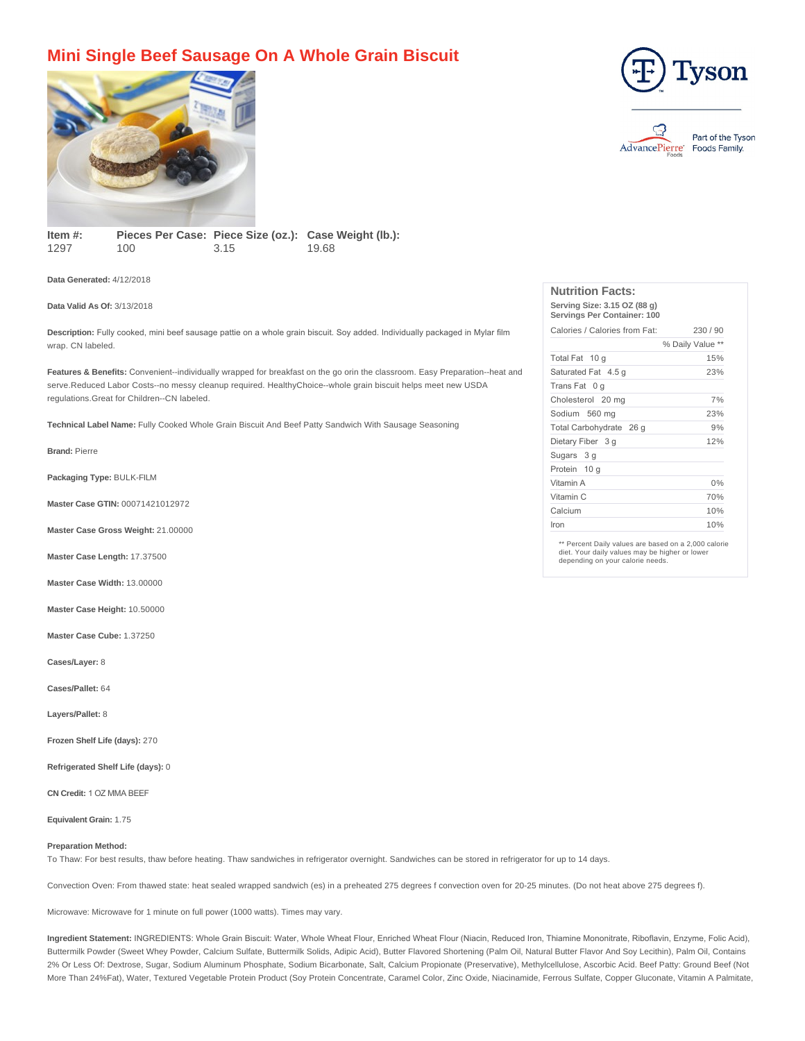## **Mini Single Beef Sausage On A Whole Grain Biscuit**



**Item #:** 1297 Pieces Per Case: Piece Size (oz.): Case Weight (lb.): 100 3.15 19.68

**Data Generated:** 4/12/2018

**Data Valid As Of:** 3/13/2018

**Description:** Fully cooked, mini beef sausage pattie on a whole grain biscuit. Soy added. Individually packaged in Mylar film wrap. CN labeled.

**Features & Benefits:** Convenient--individually wrapped for breakfast on the go orin the classroom. Easy Preparation--heat and serve.Reduced Labor Costs--no messy cleanup required. HealthyChoice--whole grain biscuit helps meet new USDA regulations.Great for Children--CN labeled.

**Technical Label Name:** Fully Cooked Whole Grain Biscuit And Beef Patty Sandwich With Sausage Seasoning

**Brand:** Pierre

**Packaging Type:** BULK-FILM

**Master Case GTIN:** 00071421012972

**Master Case Gross Weight:** 21.00000

**Master Case Length:** 17.37500

**Master Case Width:** 13.00000

**Master Case Height:** 10.50000

**Master Case Cube:** 1.37250

**Cases/Layer:** 8

**Cases/Pallet:** 64

**Layers/Pallet:** 8

**Frozen Shelf Life (days):** 270

**Refrigerated Shelf Life (days):** 0

**CN Credit:** 1 OZ MMA BEEF

**Equivalent Grain:** 1.75

## **Preparation Method:**

To Thaw: For best results, thaw before heating. Thaw sandwiches in refrigerator overnight. Sandwiches can be stored in refrigerator for up to 14 days.

Convection Oven: From thawed state: heat sealed wrapped sandwich (es) in a preheated 275 degrees f convection oven for 20-25 minutes. (Do not heat above 275 degrees f).

Microwave: Microwave for 1 minute on full power (1000 watts). Times may vary.

**Ingredient Statement:** INGREDIENTS: Whole Grain Biscuit: Water, Whole Wheat Flour, Enriched Wheat Flour (Niacin, Reduced Iron, Thiamine Mononitrate, Riboflavin, Enzyme, Folic Acid), Buttermilk Powder (Sweet Whey Powder, Calcium Sulfate, Buttermilk Solids, Adipic Acid), Butter Flavored Shortening (Palm Oil, Natural Butter Flavor And Soy Lecithin), Palm Oil, Contains 2% Or Less Of: Dextrose, Sugar, Sodium Aluminum Phosphate, Sodium Bicarbonate, Salt, Calcium Propionate (Preservative), Methylcellulose, Ascorbic Acid. Beef Patty: Ground Beef (Not More Than 24%Fat), Water, Textured Vegetable Protein Product (Soy Protein Concentrate, Caramel Color, Zinc Oxide, Niacinamide, Ferrous Sulfate, Copper Gluconate, Vitamin A Palmitate,





## **Nutrition Facts: Serving Size: 3.15 OZ (88 g)**

**Servings Per Container: 100**

| Calories / Calories from Fat: | 230 / 90         |
|-------------------------------|------------------|
|                               | % Daily Value ** |
| Total Fat 10 g                | 15%              |
| Saturated Fat 4.5 g           | 23%              |
| Trans Fat 0 g                 |                  |
| Cholesterol 20 mg             | 7%               |
| Sodium 560 mg                 | 23%              |
| Total Carbohydrate 26 g       | 9%               |
| Dietary Fiber 3 g             | 12%              |
| Sugars 3 g                    |                  |
| Protein 10 g                  |                  |
| Vitamin A                     | 0%               |
| Vitamin C                     | 70%              |
| Calcium                       | 10%              |
| Iron                          | 10%              |
|                               |                  |

\*\* Percent Daily values are based on a 2,000 calorie diet. Your daily values may be higher or lower depending on your calorie needs.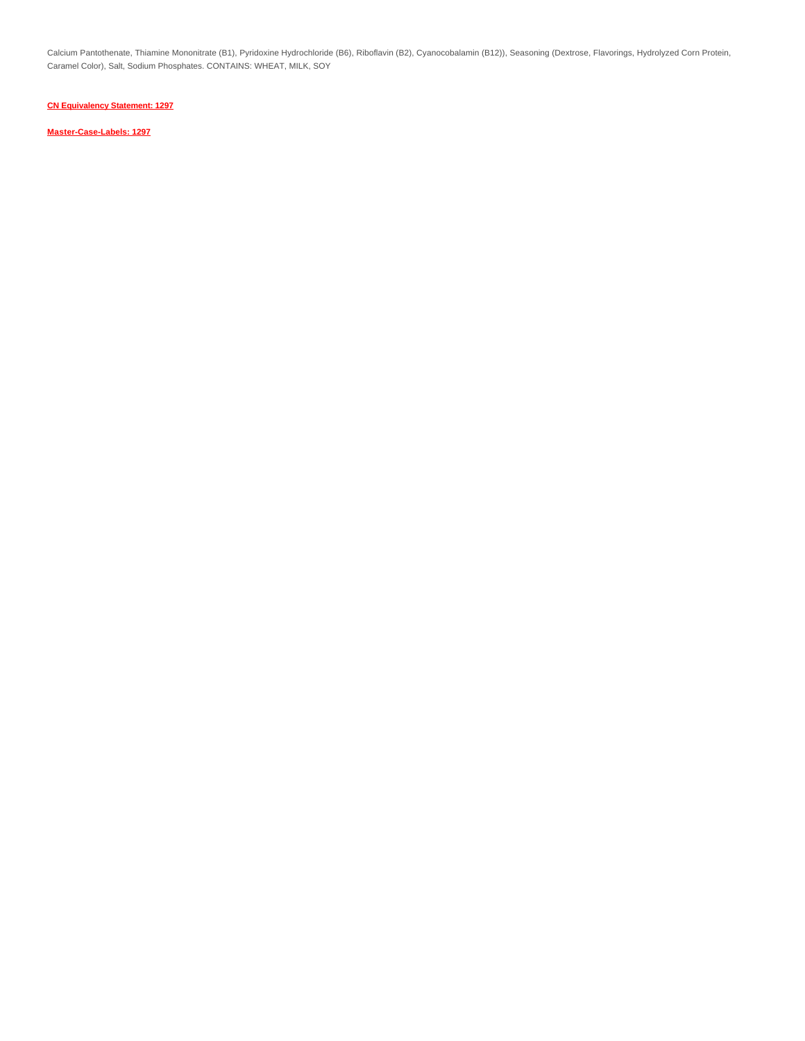Calcium Pantothenate, Thiamine Mononitrate (B1), Pyridoxine Hydrochloride (B6), Riboflavin (B2), Cyanocobalamin (B12)), Seasoning (Dextrose, Flavorings, Hydrolyzed Corn Protein, Caramel Color), Salt, Sodium Phosphates. CONTAINS: WHEAT, MILK, SOY

**[CN Equivalency Statement: 1297](https://www.advancepierre.com/pdf/CN-Equivalency-Statement/1297.pdf)**

**[Master-Case-Labels: 1297](https://www.advancepierre.com/pdf/Master-Case-Labels/1297.jpg)**